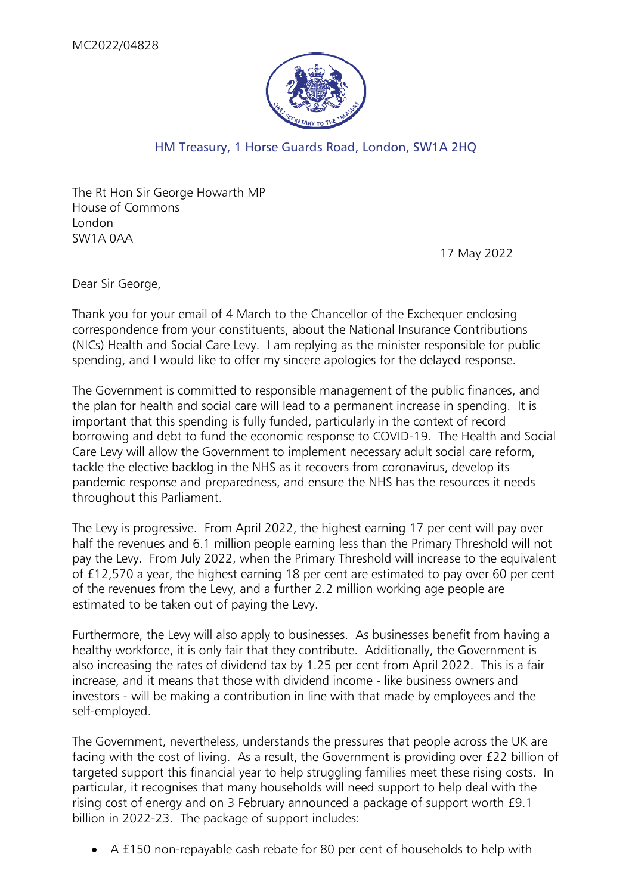

## HM Treasury, 1 Horse Guards Road, London, SW1A 2HQ

The Rt Hon Sir George Howarth MP House of Commons London SW1A 0AA

17 May 2022

Dear Sir George,

Thank you for your email of 4 March to the Chancellor of the Exchequer enclosing correspondence from your constituents, about the National Insurance Contributions (NICs) Health and Social Care Levy. I am replying as the minister responsible for public spending, and I would like to offer my sincere apologies for the delayed response.

The Government is committed to responsible management of the public finances, and the plan for health and social care will lead to a permanent increase in spending. It is important that this spending is fully funded, particularly in the context of record borrowing and debt to fund the economic response to COVID-19. The Health and Social Care Levy will allow the Government to implement necessary adult social care reform, tackle the elective backlog in the NHS as it recovers from coronavirus, develop its pandemic response and preparedness, and ensure the NHS has the resources it needs throughout this Parliament.

The Levy is progressive. From April 2022, the highest earning 17 per cent will pay over half the revenues and 6.1 million people earning less than the Primary Threshold will not pay the Levy. From July 2022, when the Primary Threshold will increase to the equivalent of £12,570 a year, the highest earning 18 per cent are estimated to pay over 60 per cent of the revenues from the Levy, and a further 2.2 million working age people are estimated to be taken out of paying the Levy.

Furthermore, the Levy will also apply to businesses. As businesses benefit from having a healthy workforce, it is only fair that they contribute. Additionally, the Government is also increasing the rates of dividend tax by 1.25 per cent from April 2022. This is a fair increase, and it means that those with dividend income - like business owners and investors - will be making a contribution in line with that made by employees and the self-employed.

The Government, nevertheless, understands the pressures that people across the UK are facing with the cost of living. As a result, the Government is providing over £22 billion of targeted support this financial year to help struggling families meet these rising costs. In particular, it recognises that many households will need support to help deal with the rising cost of energy and on 3 February announced a package of support worth £9.1 billion in 2022-23. The package of support includes:

• A £150 non-repayable cash rebate for 80 per cent of households to help with